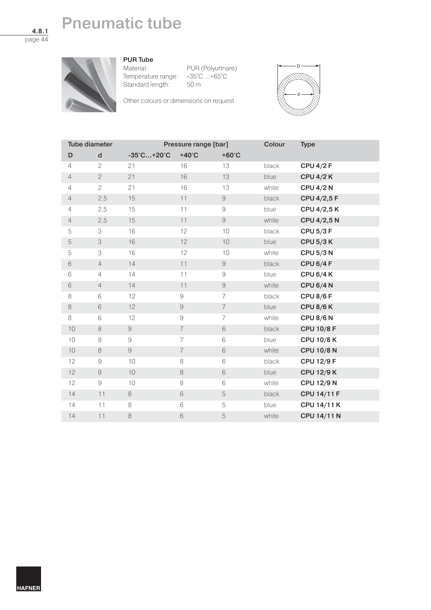# **Pneumatic tube**

**4.8.1** page 44

## **PUR Tube**

Temperature range: -35°C ...+65°C<br>Standard length: 50 m Standard length:

Material: PUR (Polyurtnare)

Other colours or dimensions on request.



| Tube diameter  |                | Pressure range [bar]            |                 |                 | Colour | <b>Type</b>        |
|----------------|----------------|---------------------------------|-----------------|-----------------|--------|--------------------|
| D              | $\mathbf d$    | $-35^{\circ}$ C+20 $^{\circ}$ C | $+40^{\circ}$ C | $+60^{\circ}$ C |        |                    |
| $\overline{4}$ | $\overline{c}$ | 21                              | 16              | 13              | black  | <b>CPU 4/2 F</b>   |
| $\overline{4}$ | $\overline{c}$ | 21                              | 16              | 13              | blue   | <b>CPU 4/2 K</b>   |
| $\overline{4}$ | $\overline{2}$ | 21                              | 16              | 13              | white  | <b>CPU 4/2 N</b>   |
| $\overline{4}$ | 2,5            | 15                              | 11              | $\mathcal G$    | black  | CPU 4/2,5 F        |
| $\overline{4}$ | 2,5            | 15                              | 11              | $\Theta$        | blue   | CPU 4/2,5 K        |
| $\overline{4}$ | 2,5            | 15                              | 11              | $\hbox{9}$      | white  | CPU 4/2,5 N        |
| 5              | 3              | 16                              | 12              | 10              | black  | <b>CPU 5/3 F</b>   |
| 5              | 3              | 16                              | 12              | 10              | blue   | <b>CPU 5/3 K</b>   |
| 5              | 3              | 16                              | 12              | 10              | white  | <b>CPU 5/3 N</b>   |
| $\,$ $\,$ $\,$ | $\overline{4}$ | 14                              | 11              | $\Theta$        | black  | <b>CPU 6/4 F</b>   |
| 6              | $\overline{4}$ | 14                              | 11              | $\Theta$        | blue   | <b>CPU 6/4 K</b>   |
| $\,$ $\,$ $\,$ | $\overline{4}$ | 14                              | 11              | $\Theta$        | white  | <b>CPU 6/4 N</b>   |
| 8              | 6              | 12                              | $\hbox{9}$      | $\overline{7}$  | black  | <b>CPU 8/6 F</b>   |
| $\,8\,$        | 6              | 12                              | $\Theta$        | $\overline{7}$  | blue   | <b>CPU 8/6 K</b>   |
| 8              | 6              | 12                              | $\Theta$        | $\overline{7}$  | white  | <b>CPU 8/6 N</b>   |
| 10             | $\,8\,$        | $\Theta$                        | $\overline{7}$  | $\,6\,$         | black  | <b>CPU 10/8 F</b>  |
| 10             | 8              | $\hbox{9}$                      | 7               | $\,6\,$         | blue   | <b>CPU 10/8 K</b>  |
| 10             | $\,8\,$        | $\hbox{9}$                      | $\overline{7}$  | $\,$ $\,$ $\,$  | white  | <b>CPU 10/8 N</b>  |
| 12             | $\hbox{9}$     | 10                              | $\,8\,$         | $\,$ $\,$ $\,$  | black  | <b>CPU 12/9 F</b>  |
| 12             | $\Theta$       | $10$                            | $\,8\,$         | $\,$ $\,$ $\,$  | blue   | <b>CPU 12/9 K</b>  |
| 12             | $\mathcal G$   | 10                              | 8               | $\,6$           | white  | <b>CPU 12/9 N</b>  |
| 14             | 11             | $\,8\,$                         | $\,6$           | $\mathbf 5$     | black  | <b>CPU 14/11 F</b> |
| 14             | 11             | $\,8\,$                         | 6               | 5               | blue   | <b>CPU 14/11 K</b> |
| 14             | 11             | $\,8\,$                         | 6               | $\mathbf 5$     | white  | <b>CPU 14/11 N</b> |

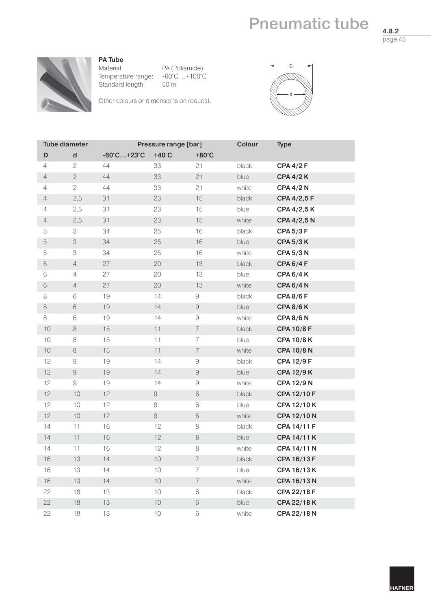## **Pneumatic tube**

**4.8.2** page 45



**PA Tube**

Material: PA (Poliamide) Temperature range: -60°C ...+100°C<br>Standard length: 50 m Standard length:

Other colours or dimensions on request.



| <b>Tube diameter</b> |                                                                                                                                                                                                                                                                                                                                                                                                                                                               |                                  | Pressure range [bar] |                          | Colour | <b>Type</b>       |
|----------------------|---------------------------------------------------------------------------------------------------------------------------------------------------------------------------------------------------------------------------------------------------------------------------------------------------------------------------------------------------------------------------------------------------------------------------------------------------------------|----------------------------------|----------------------|--------------------------|--------|-------------------|
| D                    | $\operatorname{\mathsf{d}}$                                                                                                                                                                                                                                                                                                                                                                                                                                   | $-60^{\circ}$ C +23 $^{\circ}$ C | $+40^{\circ}$ C      | $+80^{\circ}$ C          |        |                   |
| $\overline{4}$       | $\mathbf{c}$                                                                                                                                                                                                                                                                                                                                                                                                                                                  | 44                               | 33                   | 21                       | black  | <b>CPA 4/2 F</b>  |
| $\overline{4}$       | $\mathbf{2}$                                                                                                                                                                                                                                                                                                                                                                                                                                                  | 44                               | 33                   | 21                       | blue   | <b>CPA 4/2 K</b>  |
| $\sqrt{4}$           | $\mathbf{c}$                                                                                                                                                                                                                                                                                                                                                                                                                                                  | 44                               | 33                   | 21                       | white  | <b>CPA 4/2 N</b>  |
| $\sqrt{4}$           | 2,5                                                                                                                                                                                                                                                                                                                                                                                                                                                           | 31                               | 23                   | 15                       | black  | CPA 4/2,5 F       |
| $\sqrt{4}$           | 2,5                                                                                                                                                                                                                                                                                                                                                                                                                                                           | 31                               | 23                   | 15                       | blue   | CPA 4/2,5 K       |
| $\overline{4}$       | 2,5                                                                                                                                                                                                                                                                                                                                                                                                                                                           | 31                               | 23                   | 15                       | white  | CPA 4/2,5 N       |
| 5                    | 3                                                                                                                                                                                                                                                                                                                                                                                                                                                             | 34                               | 25                   | 16                       | black  | <b>CPA 5/3 F</b>  |
| 5                    | 3                                                                                                                                                                                                                                                                                                                                                                                                                                                             | 34                               | 25                   | 16                       | blue   | <b>CPA 5/3 K</b>  |
| 5                    | 3                                                                                                                                                                                                                                                                                                                                                                                                                                                             | 34                               | 25                   | 16                       | white  | <b>CPA 5/3 N</b>  |
| 6                    | $\sqrt{4}$                                                                                                                                                                                                                                                                                                                                                                                                                                                    | 27                               | 20                   | 13                       | black  | <b>CPA 6/4 F</b>  |
| 6                    | $\sqrt{4}$                                                                                                                                                                                                                                                                                                                                                                                                                                                    | 27                               | 20                   | 13                       | blue   | <b>CPA 6/4 K</b>  |
| $\,$ $\,$ $\,$       | $\sqrt{4}$                                                                                                                                                                                                                                                                                                                                                                                                                                                    | 27                               | 20                   | 13                       | white  | <b>CPA 6/4 N</b>  |
| 8                    | 6                                                                                                                                                                                                                                                                                                                                                                                                                                                             | 19                               | 14                   | $\Theta$                 | black  | <b>CPA 8/6 F</b>  |
| 8                    | 6                                                                                                                                                                                                                                                                                                                                                                                                                                                             | 19                               | 14                   | $\Theta$                 | blue   | <b>CPA 8/6 K</b>  |
| 8                    | 6                                                                                                                                                                                                                                                                                                                                                                                                                                                             | 19                               | 14                   | $\hbox{ }9$              | white  | <b>CPA 8/6 N</b>  |
| 10                   | 8                                                                                                                                                                                                                                                                                                                                                                                                                                                             | 15                               | 11                   | $\overline{\mathcal{I}}$ | black  | <b>CPA 10/8 F</b> |
| 10                   | $\,8\,$                                                                                                                                                                                                                                                                                                                                                                                                                                                       | 15                               | 11                   | $\overline{7}$           | blue   | <b>CPA 10/8 K</b> |
| $10$                 | $\,8\,$                                                                                                                                                                                                                                                                                                                                                                                                                                                       | 15                               | 11                   | $\overline{\mathcal{I}}$ | white  | <b>CPA 10/8 N</b> |
| 12                   | $\Theta$                                                                                                                                                                                                                                                                                                                                                                                                                                                      | 19                               | 14                   | $\Theta$                 | black  | <b>CPA 12/9 F</b> |
| 12                   | $\mathcal{G}% =\mathcal{G}_{1}\mathcal{G}_{1}\mathcal{G}_{2}\mathcal{G}_{3}\mathcal{G}_{4} \mathcal{G}_{5} \mathcal{G}_{6} \mathcal{G}_{7} \mathcal{G}_{8} \mathcal{G}_{9} \mathcal{G}_{9} \mathcal{G}_{9} \mathcal{G}_{9} \mathcal{G}_{9} \mathcal{G}_{9} \mathcal{G}_{9} \mathcal{G}_{9} \mathcal{G}_{9} \mathcal{G}_{9} \mathcal{G}_{9} \mathcal{G}_{9} \mathcal{G}_{9} \mathcal{G}_{9} \mathcal{G}_{9} \mathcal{G}_{9} \mathcal{G}_{9} \mathcal{G}_{9} \$ | 19                               | 14                   | $\Theta$                 | blue   | <b>CPA 12/9 K</b> |
| 12                   | $\Theta$                                                                                                                                                                                                                                                                                                                                                                                                                                                      | 19                               | 14                   | $\hbox{9}$               | white  | <b>CPA 12/9 N</b> |
| 12                   | 10                                                                                                                                                                                                                                                                                                                                                                                                                                                            | 12                               | $\Theta$             | 6                        | black  | CPA 12/10 F       |
| 12                   | 10                                                                                                                                                                                                                                                                                                                                                                                                                                                            | 12                               | $\hbox{9}$           | 6                        | blue   | CPA 12/10 K       |
| 12                   | 10                                                                                                                                                                                                                                                                                                                                                                                                                                                            | 12                               | $\hbox{9}$           | $\,$ $\,$ $\,$           | white  | CPA 12/10 N       |
| 14                   | 11                                                                                                                                                                                                                                                                                                                                                                                                                                                            | 16                               | 12                   | $\,8\,$                  | black  | CPA 14/11 F       |
| 14                   | 11                                                                                                                                                                                                                                                                                                                                                                                                                                                            | 16                               | 12                   | $\,8\,$                  | blue   | CPA 14/11 K       |
| 14                   | 11                                                                                                                                                                                                                                                                                                                                                                                                                                                            | 16                               | 12                   | 8                        | white  | CPA 14/11 N       |
| 16                   | 13                                                                                                                                                                                                                                                                                                                                                                                                                                                            | 14                               | 10                   | $\overline{7}$           | black  | CPA 16/13 F       |
| 16                   | 13                                                                                                                                                                                                                                                                                                                                                                                                                                                            | 14                               | 10                   | $\overline{7}$           | blue   | CPA 16/13 K       |
| 16                   | 13                                                                                                                                                                                                                                                                                                                                                                                                                                                            | 14                               | $10$                 | $\overline{7}$           | white  | CPA 16/13 N       |
| 22                   | 18                                                                                                                                                                                                                                                                                                                                                                                                                                                            | 13                               | 10                   | $\,$ $\,$ $\,$           | black  | CPA 22/18 F       |
| 22                   | 18                                                                                                                                                                                                                                                                                                                                                                                                                                                            | 13                               | $10$                 | $\,$ $\,$ $\,$           | blue   | CPA 22/18 K       |
| 22                   | 18                                                                                                                                                                                                                                                                                                                                                                                                                                                            | 13                               | 10                   | 6                        | white  | CPA 22/18 N       |

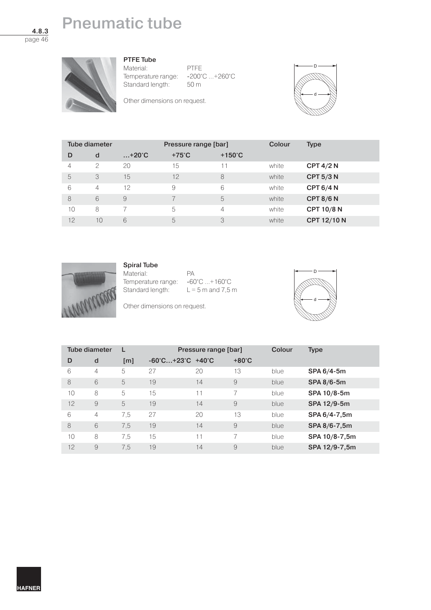# **Pneumatic tube**

**4.8.3** page 46

### **PTFE Tube**

Material: PTFE<br>Temperature range: -200°C ...+260°C Temperature range: -200°<br>Standard length: 50 m Standard length:

Other dimensions on request.



| Tube diameter  |                |                | Pressure range [bar] |                  | Colour | <b>Type</b>       |
|----------------|----------------|----------------|----------------------|------------------|--------|-------------------|
| D              | d              | $+20^{\circ}C$ | $+75^{\circ}$ C      | $+150^{\circ}$ C |        |                   |
| $\overline{4}$ | $\mathcal{P}$  | 20             | 15                   | 11               | white  | CPT $4/2$ N       |
| 5              | 3              | 15             | 12                   | 8                | white  | <b>CPT 5/3 N</b>  |
| 6              | $\overline{4}$ | 12             | 9                    | 6                | white  | <b>CPT 6/4 N</b>  |
| 8              | 6              | 9              |                      | 5                | white  | CPT $8/6$ N       |
| 10             | 8              |                | 5                    | 4                | white  | <b>CPT 10/8 N</b> |
| 12             | 10             | 6              | 5                    | 3                | white  | CPT 12/10 N       |



## **Spiral Tube**

Material: PA Temperature range:  $-60^{\circ}$ C ... $+160^{\circ}$ C<br>Standard length:  $L = 5$  m and 7,5

 $L = 5$  m and 7,5 m

Other dimensions on request.



| Tube diameter |   | L                 | Pressure range [bar]                             |    |                          | Colour | <b>Type</b>   |
|---------------|---|-------------------|--------------------------------------------------|----|--------------------------|--------|---------------|
| D             | d | $\lceil m \rceil$ | $-60^{\circ}$ C+23 $^{\circ}$ C +40 $^{\circ}$ C |    | $+80^{\circ}$ C          |        |               |
| 6             | 4 | 5                 | 27                                               | 20 | 13                       | blue   | SPA 6/4-5m    |
| 8             | 6 | 5                 | 19                                               | 14 | 9                        | blue   | SPA 8/6-5m    |
| 10            | 8 | 5                 | 15                                               | 11 | $\overline{\phantom{1}}$ | blue   | SPA 10/8-5m   |
| 12            | 9 | 5                 | 19                                               | 14 | 9                        | blue   | SPA 12/9-5m   |
| 6             | 4 | 7,5               | 27                                               | 20 | 13                       | blue   | SPA 6/4-7,5m  |
| 8             | 6 | 7.5               | 19                                               | 14 | 9                        | blue   | SPA 8/6-7,5m  |
| 10            | 8 | 7.5               | 15                                               | 11 |                          | blue   | SPA 10/8-7,5m |
| 12            | 9 | 7.5               | 19                                               | 14 | 9                        | blue   | SPA 12/9-7,5m |